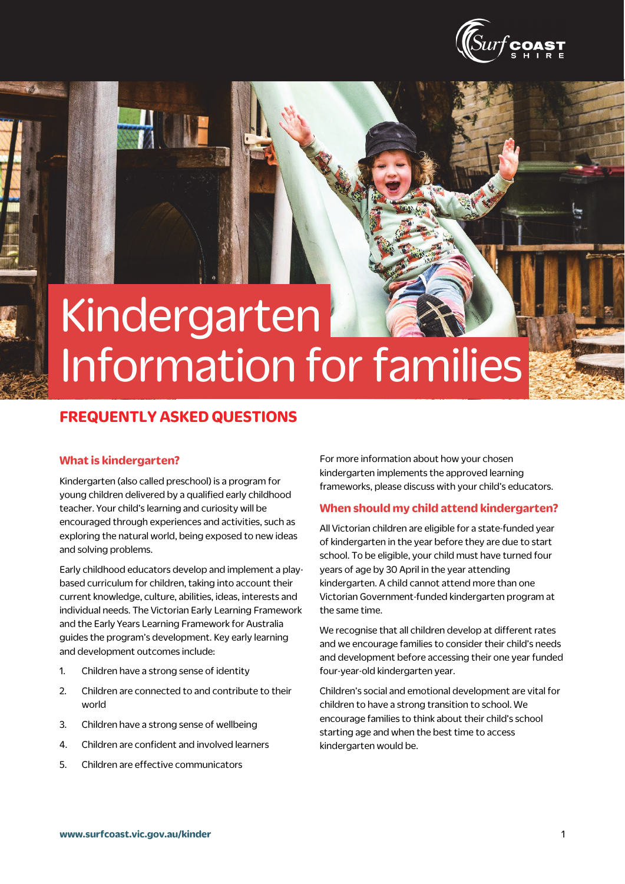

# Kindergarten Information for families

# **FREQUENTLY ASKED QUESTIONS**

#### **What is kindergarten?**

Kindergarten (also called preschool) is a program for young children delivered by a qualified early childhood teacher. Your child's learning and curiosity will be encouraged through experiences and activities, such as exploring the natural world, being exposed to new ideas and solving problems.

Early childhood educators develop and implement a playbased curriculum for children, taking into account their current knowledge, culture, abilities, ideas, interests and individual needs. The Victorian Early Learning Framework and the Early Years Learning Framework for Australia guides the program's development. Key early learning and development outcomes include:

- 1. Children have a strong sense of identity
- 2. Children are connected to and contribute to their world
- 3. Children have a strong sense of wellbeing
- 4. Children are confident and involved learners
- 5. Children are effective communicators

For more information about how your chosen kindergarten implements the approved learning frameworks, please discuss with your child's educators.

#### **When should my child attend kindergarten?**

All Victorian children are eligible for a state-funded year of kindergarten in the year before they are due to start school. To be eligible, your child must have turned four years of age by 30 April in the year attending kindergarten. A child cannot attend more than one Victorian Government-funded kindergarten program at the same time.

We recognise that all children develop at different rates and we encourage families to consider their child's needs and development before accessing their one year funded four-year-old kindergarten year.

Children's social and emotional development are vital for children to have a strong transition to school. We encourage families to think about their child's school starting age and when the best time to access kindergarten would be.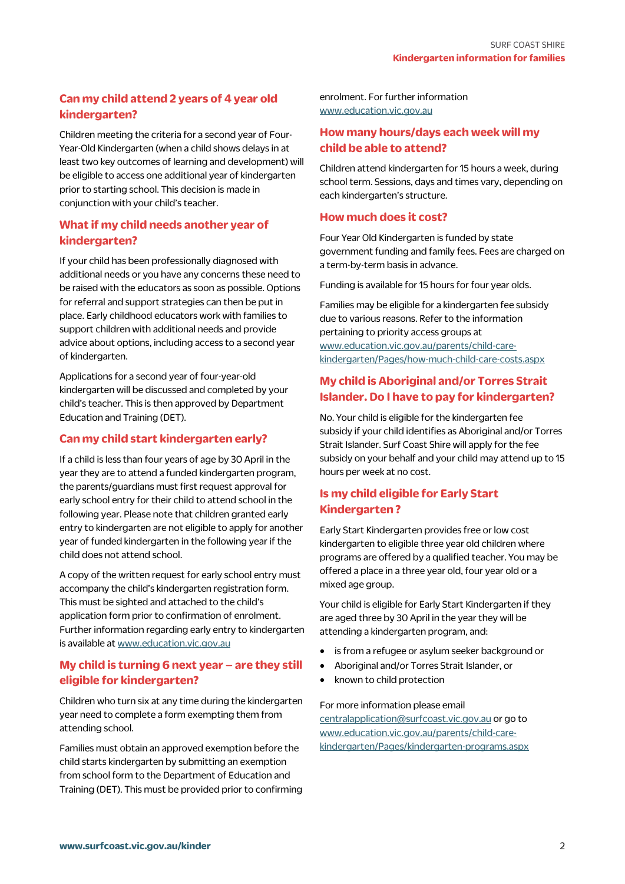# **Can my child attend 2 years of 4 year old kindergarten?**

Children meeting the criteria for a second year of Four-Year-Old Kindergarten (when a child shows delays in at least two key outcomes of learning and development) will be eligible to access one additional year of kindergarten prior to starting school. This decision is made in conjunction with your child's teacher.

# **What if my child needs another year of kindergarten?**

If your child has been professionally diagnosed with additional needs or you have any concerns these need to be raised with the educators as soon as possible. Options for referral and support strategies can then be put in place. Early childhood educators work with families to support children with additional needs and provide advice about options, including access to a second year of kindergarten.

Applications for a second year of four-year-old kindergarten will be discussed and completed by your child's teacher. This is then approved by Department Education and Training (DET).

#### **Can my child start kindergarten early?**

If a child is less than four years of age by 30 April in the year they are to attend a funded kindergarten program, the parents/guardians must first request approval for early school entry for their child to attend school in the following year. Please note that children granted early entry to kindergarten are not eligible to apply for another year of funded kindergarten in the following year if the child does not attend school.

A copy of the written request for early school entry must accompany the child's kindergarten registration form. This must be sighted and attached to the child's application form prior to confirmation of enrolment. Further information regarding early entry to kindergarten is available at www.education.vic.gov.au

### **My child is turning 6 next year – are they still eligible for kindergarten?**

Children who turn six at any time during the kindergarten year need to complete a form exempting them from attending school.

Families must obtain an approved exemption before the child starts kindergarten by submitting an exemption from school form to the Department of Education and Training (DET). This must be provided prior to confirming enrolment. For further information www.education.vic.gov.au

## **How many hours/days each week will my child be able to attend?**

Children attend kindergarten for 15 hours a week, during school term. Sessions, days and times vary, depending on each kindergarten's structure.

#### **How much does it cost?**

Four Year Old Kindergarten is funded by state government funding and family fees. Fees are charged on a term-by-term basis in advance.

Funding is available for 15 hours for four year olds.

Families may be eligible for a kindergarten fee subsidy due to various reasons. Refer to the information pertaining to priority access groups at www.education.vic.gov.au/parents/child-carekindergarten/Pages/how-much-child-care-costs.aspx

# **My child is Aboriginal and/or Torres Strait Islander. Do I have to pay for kindergarten?**

No. Your child is eligible for the kindergarten fee subsidy if your child identifies as Aboriginal and/or Torres Strait Islander. Surf Coast Shire will apply for the fee subsidy on your behalf and your child may attend up to 15 hours per week at no cost.

# **Is my child eligible for Early Start Kindergarten ?**

Early Start Kindergarten provides free or low cost kindergarten to eligible three year old children where programs are offered by a qualified teacher. You may be offered a place in a three year old, four year old or a mixed age group.

Your child is eligible for Early Start Kindergarten if they are aged three by 30 April in the year they will be attending a kindergarten program, and:

- is from a refugee or asylum seeker background or
- Aboriginal and/or Torres Strait Islander, or
- known to child protection

For more information please email centralapplication@surfcoast.vic.gov.au or go to www.education.vic.gov.au/parents/child-carekindergarten/Pages/kindergarten-programs.aspx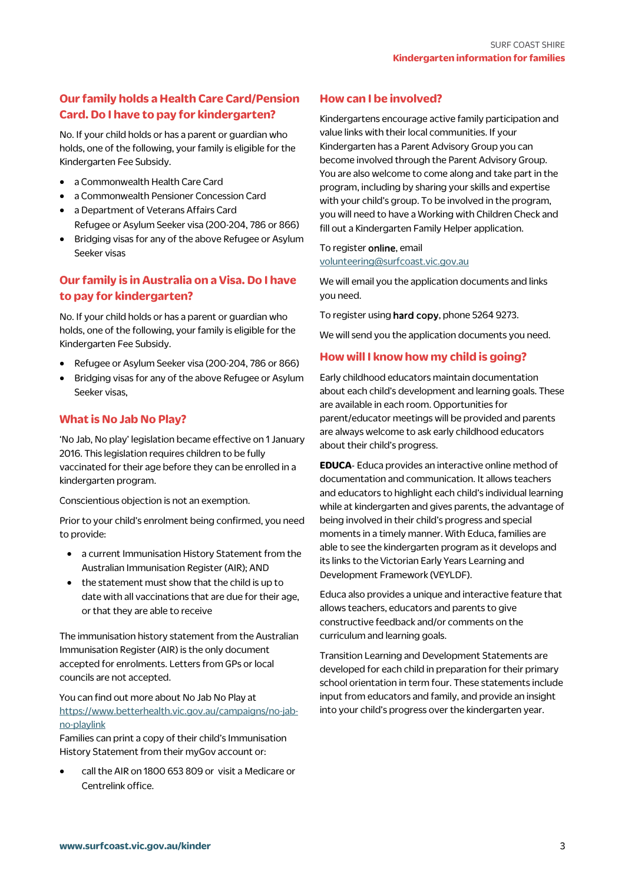# **Our family holds a Health Care Card/Pension Card. Do I have to pay for kindergarten?**

No. If your child holds or has a parent or guardian who holds, one of the following, your family is eligible for the Kindergarten Fee Subsidy.

- a Commonwealth Health Care Card
- a Commonwealth Pensioner Concession Card
- a Department of Veterans Affairs Card Refugee or Asylum Seeker visa (200-204, 786 or 866)
- Bridging visas for any of the above Refugee or Asylum Seeker visas

# **Our family is in Australia on a Visa. Do I have to pay for kindergarten?**

No. If your child holds or has a parent or guardian who holds, one of the following, your family is eligible for the Kindergarten Fee Subsidy.

- Refugee or Asylum Seeker visa (200-204, 786 or 866)
- Bridging visas for any of the above Refugee or Asylum Seeker visas,

#### **What is No Jab No Play?**

'No Jab, No play' legislation became effective on 1 January 2016. This legislation requires children to be fully vaccinated for their age before they can be enrolled in a kindergarten program.

Conscientious objection is not an exemption.

Prior to your child's enrolment being confirmed, you need to provide:

- a current Immunisation History Statement from the Australian Immunisation Register (AIR); AND
- the statement must show that the child is up to date with all vaccinations that are due for their age, or that they are able to receive

The immunisation history statement from the Australian Immunisation Register (AIR) is the only document accepted for enrolments. Letters from GPs or local councils are not accepted.

#### You can find out more about No Jab No Play at https://www.betterhealth.vic.gov.au/campaigns/no-jabno-playlink

Families can print a copy of their child's Immunisation History Statement from their myGov account or:

 call the AIR on 1800 653 809 or visit a Medicare or Centrelink office.

#### **How can I be involved?**

Kindergartens encourage active family participation and value links with their local communities. If your Kindergarten has a Parent Advisory Group you can become involved through the Parent Advisory Group. You are also welcome to come along and take part in the program, including by sharing your skills and expertise with your child's group. To be involved in the program, you will need to have a Working with Children Check and fill out a Kindergarten Family Helper application.

#### To register online, email volunteering@surfcoast.vic.gov.au

We will email you the application documents and links you need.

To register using hard copy, phone 5264 9273.

We will send you the application documents you need.

#### **How will I know how my child is going?**

Early childhood educators maintain documentation about each child's development and learning goals. These are available in each room. Opportunities for parent/educator meetings will be provided and parents are always welcome to ask early childhood educators about their child's progress.

**EDUCA**- Educa provides an interactive online method of documentation and communication. It allows teachers and educators to highlight each child's individual learning while at kindergarten and gives parents, the advantage of being involved in their child's progress and special moments in a timely manner. With Educa, families are able to see the kindergarten program as it develops and its links to the Victorian Early Years Learning and Development Framework (VEYLDF).

Educa also provides a unique and interactive feature that allows teachers, educators and parents to give constructive feedback and/or comments on the curriculum and learning goals.

Transition Learning and Development Statements are developed for each child in preparation for their primary school orientation in term four. These statements include input from educators and family, and provide an insight into your child's progress over the kindergarten year.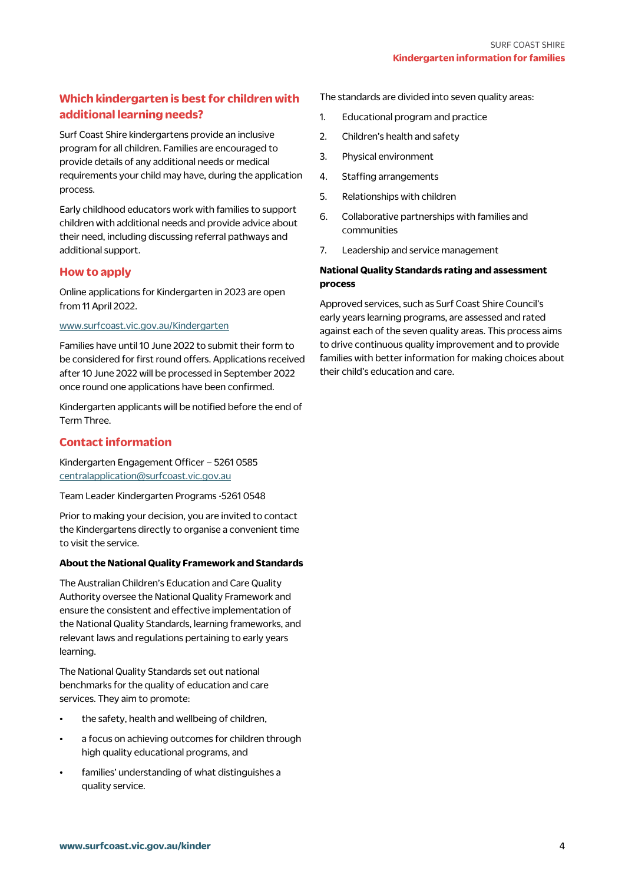# **Which kindergarten is best for children with additional learning needs?**

Surf Coast Shire kindergartens provide an inclusive program for all children. Families are encouraged to provide details of any additional needs or medical requirements your child may have, during the application process.

Early childhood educators work with families to support children with additional needs and provide advice about their need, including discussing referral pathways and additional support.

#### **How to apply**

Online applications for Kindergarten in 2023 are open from 11 April 2022.

#### www.surfcoast.vic.gov.au/Kindergarten

Families have until 10 June 2022 to submit their form to be considered for first round offers. Applications received after 10 June 2022 will be processed in September 2022 once round one applications have been confirmed.

Kindergarten applicants will be notified before the end of Term Three.

#### **Contact information**

Kindergarten Engagement Officer – 5261 0585 centralapplication@surfcoast.vic.gov.au

Team Leader Kindergarten Programs -5261 0548

Prior to making your decision, you are invited to contact the Kindergartens directly to organise a convenient time to visit the service.

#### **About the National Quality Framework and Standards**

The Australian Children's Education and Care Quality Authority oversee the National Quality Framework and ensure the consistent and effective implementation of the National Quality Standards, learning frameworks, and relevant laws and regulations pertaining to early years learning.

The National Quality Standards set out national benchmarks for the quality of education and care services. They aim to promote:

- the safety, health and wellbeing of children,
- a focus on achieving outcomes for children through high quality educational programs, and
- families' understanding of what distinguishes a quality service.

The standards are divided into seven quality areas:

- 1. Educational program and practice
- 2. Children's health and safety
- 3. Physical environment
- 4. Staffing arrangements
- 5. Relationships with children
- 6. Collaborative partnerships with families and communities
- 7. Leadership and service management

#### **National Quality Standards rating and assessment process**

Approved services, such as Surf Coast Shire Council's early years learning programs, are assessed and rated against each of the seven quality areas. This process aims to drive continuous quality improvement and to provide families with better information for making choices about their child's education and care.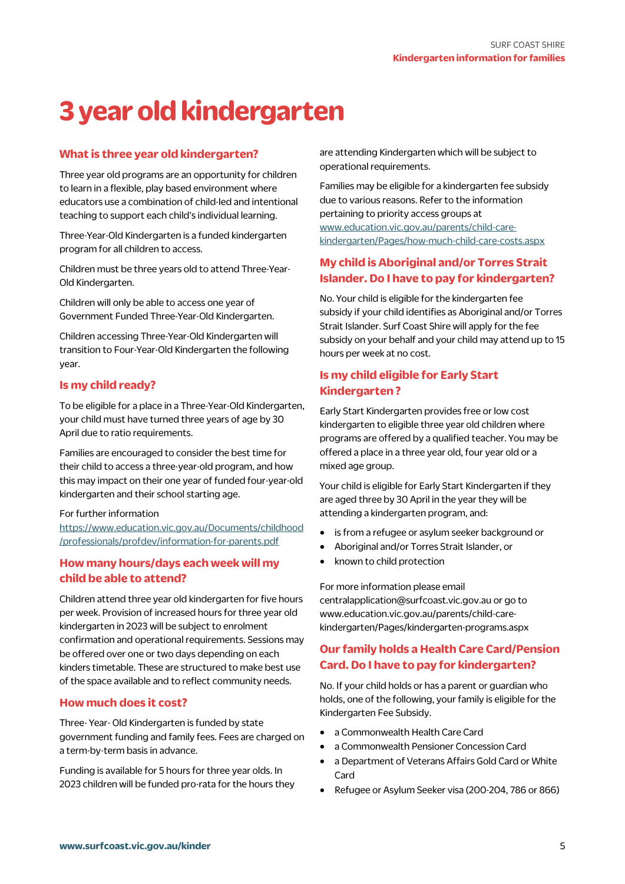# **3 year old kindergarten**

#### **What is three year old kindergarten?**

Three year old programs are an opportunity for children to learn in a flexible, play based environment where educators use a combination of child-led and intentional teaching to support each child's individual learning.

Three-Year-Old Kindergarten is a funded kindergarten program for all children to access.

Children must be three years old to attend Three-Year-Old Kindergarten.

Children will only be able to access one year of Government Funded Three-Year-Old Kindergarten.

Children accessing Three-Year-Old Kindergarten will transition to Four-Year-Old Kindergarten the following year.

#### **Is my child ready?**

To be eligible for a place in a Three-Year-Old Kindergarten, your child must have turned three years of age by 30 April due to ratio requirements.

Families are encouraged to consider the best time for their child to access a three-year-old program, and how this may impact on their one year of funded four-year-old kindergarten and their school starting age.

#### For further information

https://www.education.vic.gov.au/Documents/childhood /professionals/profdev/information-for-parents.pdf

#### **How many hours/days each week will my child be able to attend?**

Children attend three year old kindergarten for five hours per week. Provision of increased hours for three year old kindergarten in 2023 will be subject to enrolment confirmation and operational requirements. Sessions may be offered over one or two days depending on each kinders timetable. These are structured to make best use of the space available and to reflect community needs.

#### **How much does it cost?**

Three- Year- Old Kindergarten is funded by state government funding and family fees. Fees are charged on a term-by-term basis in advance.

Funding is available for 5 hours for three year olds. In 2023 children will be funded pro-rata for the hours they are attending Kindergarten which will be subject to operational requirements.

Families may be eligible for a kindergarten fee subsidy due to various reasons. Refer to the information pertaining to priority access groups at www.education.vic.gov.au/parents/child-carekindergarten/Pages/how-much-child-care-costs.aspx

# **My child is Aboriginal and/or Torres Strait Islander. Do I have to pay for kindergarten?**

No. Your child is eligible for the kindergarten fee subsidy if your child identifies as Aboriginal and/or Torres Strait Islander. Surf Coast Shire will apply for the fee subsidy on your behalf and your child may attend up to 15 hours per week at no cost.

# **Is my child eligible for Early Start Kindergarten ?**

Early Start Kindergarten provides free or low cost kindergarten to eligible three year old children where programs are offered by a qualified teacher. You may be offered a place in a three year old, four year old or a mixed age group.

Your child is eligible for Early Start Kindergarten if they are aged three by 30 April in the year they will be attending a kindergarten program, and:

- is from a refugee or asylum seeker background or
- Aboriginal and/or Torres Strait Islander, or
- known to child protection

For more information please email centralapplication@surfcoast.vic.gov.au or go to www.education.vic.gov.au/parents/child-carekindergarten/Pages/kindergarten-programs.aspx

# **Our family holds a Health Care Card/Pension Card. Do I have to pay for kindergarten?**

No. If your child holds or has a parent or guardian who holds, one of the following, your family is eligible for the Kindergarten Fee Subsidy.

- a Commonwealth Health Care Card
- a Commonwealth Pensioner Concession Card
- a Department of Veterans Affairs Gold Card or White Card
- Refugee or Asylum Seeker visa (200-204, 786 or 866)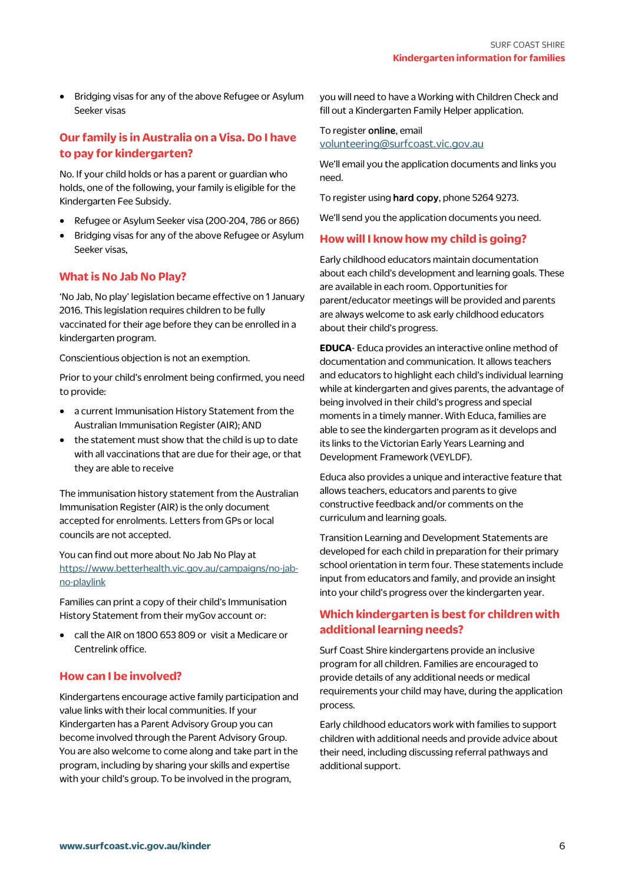• Bridging visas for any of the above Refugee or Asylum Seeker visas

# **Our family is in Australia on a Visa. Do I have to pay for kindergarten?**

No. If your child holds or has a parent or guardian who holds, one of the following, your family is eligible for the Kindergarten Fee Subsidy.

- Refugee or Asylum Seeker visa (200-204, 786 or 866)
- Bridging visas for any of the above Refugee or Asylum Seeker visas,

#### **What is No Jab No Play?**

'No Jab, No play' legislation became effective on 1 January 2016. This legislation requires children to be fully vaccinated for their age before they can be enrolled in a kindergarten program.

Conscientious objection is not an exemption.

Prior to your child's enrolment being confirmed, you need to provide:

- a current Immunisation History Statement from the Australian Immunisation Register (AIR); AND
- the statement must show that the child is up to date with all vaccinations that are due for their age, or that they are able to receive

The immunisation history statement from the Australian Immunisation Register (AIR) is the only document accepted for enrolments. Letters from GPs or local councils are not accepted.

You can find out more about No Jab No Play at https://www.betterhealth.vic.gov.au/campaigns/no-jabno-playlink

Families can print a copy of their child's Immunisation History Statement from their myGov account or:

 call the AIR on 1800 653 809 or visit a Medicare or Centrelink office.

#### **How can I be involved?**

Kindergartens encourage active family participation and value links with their local communities. If your Kindergarten has a Parent Advisory Group you can become involved through the Parent Advisory Group. You are also welcome to come along and take part in the program, including by sharing your skills and expertise with your child's group. To be involved in the program,

you will need to have a Working with Children Check and fill out a Kindergarten Family Helper application.

#### To register online, email volunteering@surfcoast.vic.gov.au

We'll email you the application documents and links you need.

To register using hard copy, phone 5264 9273.

We'll send you the application documents you need.

#### **How will I know how my child is going?**

Early childhood educators maintain documentation about each child's development and learning goals. These are available in each room. Opportunities for parent/educator meetings will be provided and parents are always welcome to ask early childhood educators about their child's progress.

**EDUCA**- Educa provides an interactive online method of documentation and communication. It allows teachers and educators to highlight each child's individual learning while at kindergarten and gives parents, the advantage of being involved in their child's progress and special moments in a timely manner. With Educa, families are able to see the kindergarten program as it develops and its links to the Victorian Early Years Learning and Development Framework (VEYLDF).

Educa also provides a unique and interactive feature that allows teachers, educators and parents to give constructive feedback and/or comments on the curriculum and learning goals.

Transition Learning and Development Statements are developed for each child in preparation for their primary school orientation in term four. These statements include input from educators and family, and provide an insight into your child's progress over the kindergarten year.

#### **Which kindergarten is best for children with additional learning needs?**

Surf Coast Shire kindergartens provide an inclusive program for all children. Families are encouraged to provide details of any additional needs or medical requirements your child may have, during the application process.

Early childhood educators work with families to support children with additional needs and provide advice about their need, including discussing referral pathways and additional support.